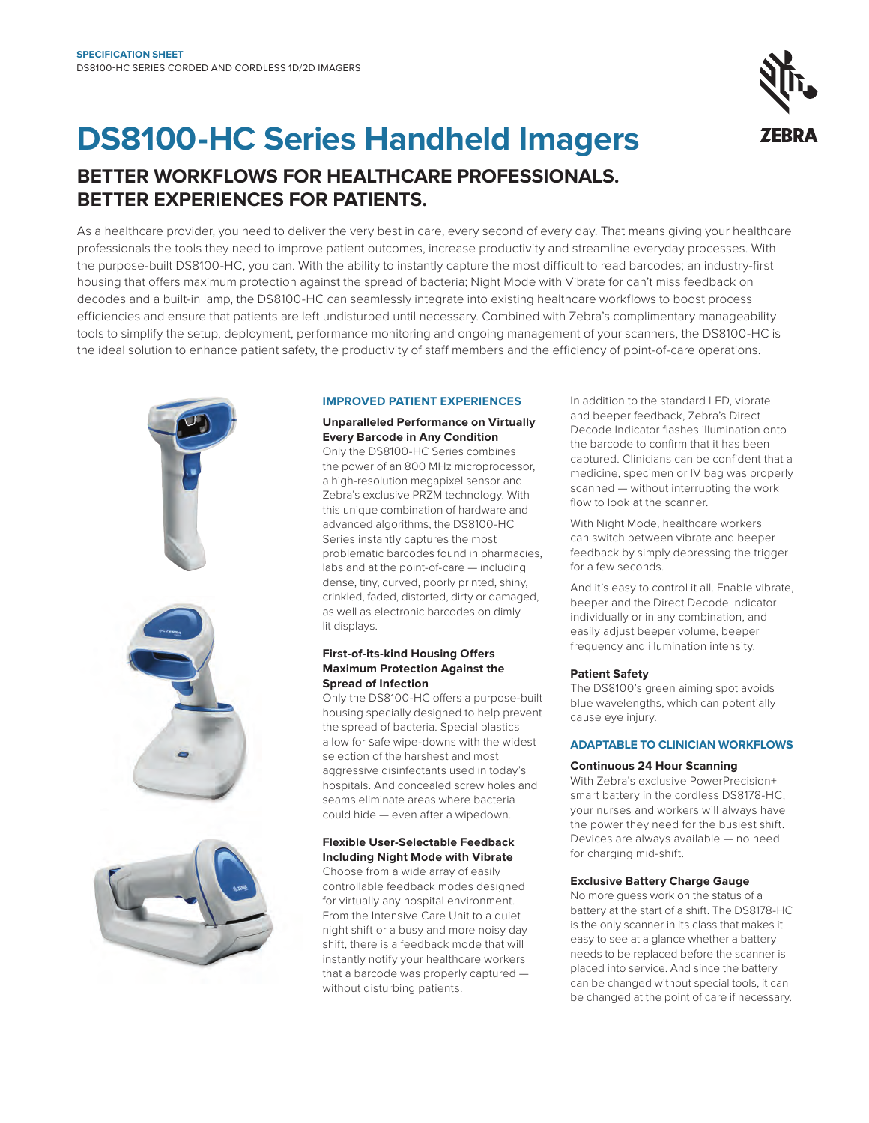

# **DS8100-HC Series Handheld Imagers**

### **BETTER WORKFLOWS FOR HEALTHCARE PROFESSIONALS. BETTER EXPERIENCES FOR PATIENTS.**

As a healthcare provider, you need to deliver the very best in care, every second of every day. That means giving your healthcare professionals the tools they need to improve patient outcomes, increase productivity and streamline everyday processes. With the purpose-built DS8100-HC, you can. With the ability to instantly capture the most difficult to read barcodes; an industry-first housing that offers maximum protection against the spread of bacteria; Night Mode with Vibrate for can't miss feedback on decodes and a built-in lamp, the DS8100-HC can seamlessly integrate into existing healthcare workflows to boost process efficiencies and ensure that patients are left undisturbed until necessary. Combined with Zebra's complimentary manageability tools to simplify the setup, deployment, performance monitoring and ongoing management of your scanners, the DS8100-HC is the ideal solution to enhance patient safety, the productivity of staff members and the efficiency of point-of-care operations.



#### **IMPROVED PATIENT EXPERIENCES**

#### **Unparalleled Performance on Virtually Every Barcode in Any Condition**

Only the DS8100-HC Series combines the power of an 800 MHz microprocessor, a high-resolution megapixel sensor and Zebra's exclusive PRZM technology. With this unique combination of hardware and advanced algorithms, the DS8100-HC Series instantly captures the most problematic barcodes found in pharmacies, labs and at the point-of-care — including dense, tiny, curved, poorly printed, shiny, crinkled, faded, distorted, dirty or damaged, as well as electronic barcodes on dimly lit displays.

#### **First-of-its-kind Housing Offers Maximum Protection Against the Spread of Infection**

Only the DS8100-HC offers a purpose-built housing specially designed to help prevent the spread of bacteria. Special plastics allow for Safe wipe-downs with the widest selection of the harshest and most aggressive disinfectants used in today's hospitals. And concealed screw holes and seams eliminate areas where bacteria could hide — even after a wipedown.

#### **Flexible User-Selectable Feedback Including Night Mode with Vibrate**

Choose from a wide array of easily controllable feedback modes designed for virtually any hospital environment. From the Intensive Care Unit to a quiet night shift or a busy and more noisy day shift, there is a feedback mode that will instantly notify your healthcare workers that a barcode was properly captured without disturbing patients.

In addition to the standard LED, vibrate and beeper feedback, Zebra's Direct Decode Indicator flashes illumination onto the barcode to confirm that it has been captured. Clinicians can be confident that a medicine, specimen or IV bag was properly scanned — without interrupting the work flow to look at the scanner.

With Night Mode, healthcare workers can switch between vibrate and beeper feedback by simply depressing the trigger for a few seconds.

And it's easy to control it all. Enable vibrate, beeper and the Direct Decode Indicator individually or in any combination, and easily adjust beeper volume, beeper frequency and illumination intensity.

#### **Patient Safety**

The DS8100's green aiming spot avoids blue wavelengths, which can potentially cause eye injury.

#### **ADAPTABLE TO CLINICIAN WORKFLOWS**

#### **Continuous 24 Hour Scanning**

With Zebra's exclusive PowerPrecision+ smart battery in the cordless DS8178-HC, your nurses and workers will always have the power they need for the busiest shift. Devices are always available — no need for charging mid-shift.

#### **Exclusive Battery Charge Gauge**

No more guess work on the status of a battery at the start of a shift. The DS8178-HC is the only scanner in its class that makes it easy to see at a glance whether a battery needs to be replaced before the scanner is placed into service. And since the battery can be changed without special tools, it can be changed at the point of care if necessary.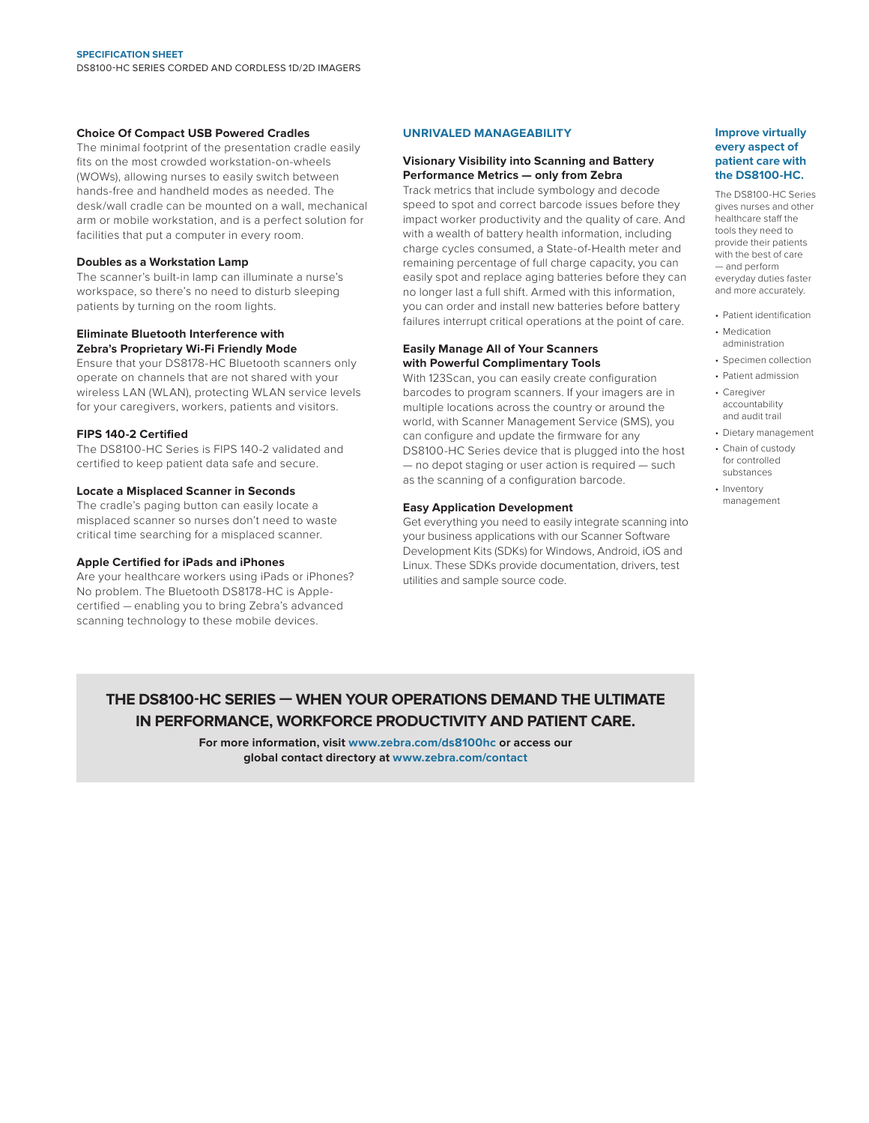#### **Choice Of Compact USB Powered Cradles**

The minimal footprint of the presentation cradle easily fits on the most crowded workstation-on-wheels (WOWs), allowing nurses to easily switch between hands-free and handheld modes as needed. The desk/wall cradle can be mounted on a wall, mechanical arm or mobile workstation, and is a perfect solution for facilities that put a computer in every room.

#### **Doubles as a Workstation Lamp**

The scanner's built-in lamp can illuminate a nurse's workspace, so there's no need to disturb sleeping patients by turning on the room lights.

#### **Eliminate Bluetooth Interference with Zebra's Proprietary Wi-Fi Friendly Mode**

Ensure that your DS8178-HC Bluetooth scanners only operate on channels that are not shared with your wireless LAN (WLAN), protecting WLAN service levels for your caregivers, workers, patients and visitors.

#### **FIPS 140-2 Certified**

The DS8100-HC Series is FIPS 140-2 validated and certified to keep patient data safe and secure.

#### **Locate a Misplaced Scanner in Seconds**

The cradle's paging button can easily locate a misplaced scanner so nurses don't need to waste critical time searching for a misplaced scanner.

#### **Apple Certified for iPads and iPhones**

Are your healthcare workers using iPads or iPhones? No problem. The Bluetooth DS8178-HC is Applecertified — enabling you to bring Zebra's advanced scanning technology to these mobile devices.

#### **UNRIVALED MANAGEABILITY**

#### **Visionary Visibility into Scanning and Battery Performance Metrics — only from Zebra**

Track metrics that include symbology and decode speed to spot and correct barcode issues before they impact worker productivity and the quality of care. And with a wealth of battery health information, including charge cycles consumed, a State-of-Health meter and remaining percentage of full charge capacity, you can easily spot and replace aging batteries before they can no longer last a full shift. Armed with this information, you can order and install new batteries before battery failures interrupt critical operations at the point of care.

#### **Easily Manage All of Your Scanners with Powerful Complimentary Tools**

With 123Scan, you can easily create configuration barcodes to program scanners. If your imagers are in multiple locations across the country or around the world, with Scanner Management Service (SMS), you can configure and update the firmware for any DS8100-HC Series device that is plugged into the host — no depot staging or user action is required — such as the scanning of a configuration barcode.

#### **Easy Application Development**

Get everything you need to easily integrate scanning into your business applications with our Scanner Software Development Kits (SDKs) for Windows, Android, iOS and Linux. These SDKs provide documentation, drivers, test utilities and sample source code.

#### **Improve virtually every aspect of patient care with the DS8100-HC.**

The DS8100-HC Series gives nurses and other healthcare staff the tools they need to provide their patients with the best of care — and perform everyday duties faster and more accurately.

- Patient identification
- Medication administration
- Specimen collection
- Patient admission • Caregiver
- accountability and audit trail
- Dietary management
- Chain of custody for controlled substances
- Inventory management

### **THE DS8100-HC SERIES — WHEN YOUR OPERATIONS DEMAND THE ULTIMATE IN PERFORMANCE, WORKFORCE PRODUCTIVITY AND PATIENT CARE.**

**For more information, visit [www.zebra.com/](http://www.zebra.com/ds8100)ds8100hc or access our global contact directory at [www.zebra.com/contact](http://www.zebra.com/contact)**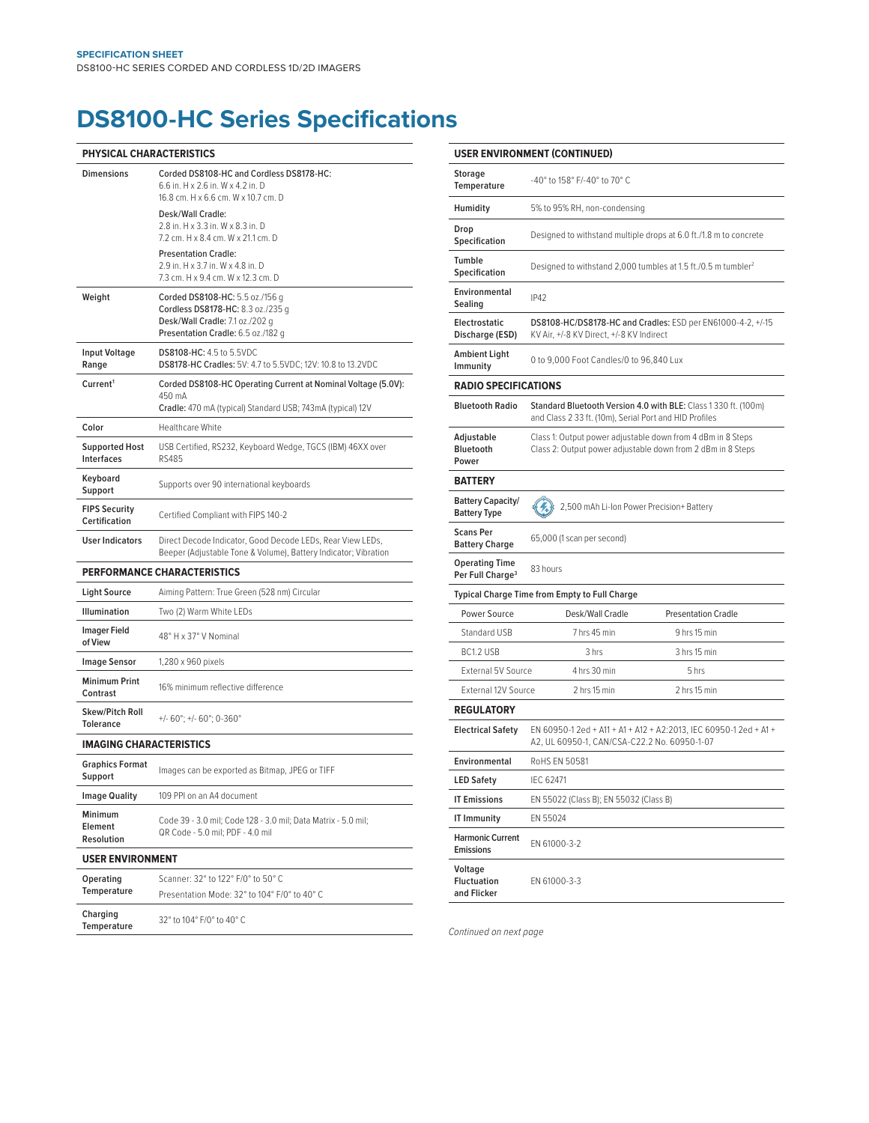## **DS8100-HC Series Specifications**

| PHYSICAL CHARACTERISTICS                   |                                                                                                                                               |  |  |  |  |
|--------------------------------------------|-----------------------------------------------------------------------------------------------------------------------------------------------|--|--|--|--|
| <b>Dimensions</b>                          | Corded DS8108-HC and Cordless DS8178-HC:<br>6.6 in. H x 2.6 in. W x 4.2 in. D<br>16.8 cm, H x 6.6 cm, W x 10.7 cm, D                          |  |  |  |  |
|                                            | Desk/Wall Cradle:<br>2.8 in. H x 3.3 in. W x 8.3 in. D<br>7.2 cm. H x 8.4 cm. W x 21.1 cm. D                                                  |  |  |  |  |
|                                            | <b>Presentation Cradle:</b><br>2.9 in. H x 3.7 in. W x 4.8 in. D<br>7.3 cm. H x 9.4 cm. W x 12.3 cm. D                                        |  |  |  |  |
| Weight                                     | Corded DS8108-HC: 5.5 oz./156 g<br>Cordless DS8178-HC: 8.3 oz./235 g<br>Desk/Wall Cradle: 7.1 oz./202 g<br>Presentation Cradle: 6.5 oz./182 g |  |  |  |  |
| <b>Input Voltage</b><br>Range              | <b>DS8108-HC: 4.5 to 5.5VDC</b><br>DS8178-HC Cradles: 5V: 4.7 to 5.5VDC; 12V: 10.8 to 13.2VDC                                                 |  |  |  |  |
| Current <sup>1</sup>                       | Corded DS8108-HC Operating Current at Nominal Voltage (5.0V):<br>450 mA<br>Cradle: 470 mA (typical) Standard USB; 743mA (typical) 12V         |  |  |  |  |
| Color                                      | <b>Healthcare White</b>                                                                                                                       |  |  |  |  |
| <b>Supported Host</b><br><b>Interfaces</b> | USB Certified, RS232, Keyboard Wedge, TGCS (IBM) 46XX over<br><b>RS485</b>                                                                    |  |  |  |  |
| Keyboard<br>Support                        | Supports over 90 international keyboards                                                                                                      |  |  |  |  |
| <b>FIPS Security</b><br>Certification      | Certified Compliant with FIPS 140-2                                                                                                           |  |  |  |  |
| <b>User Indicators</b>                     | Direct Decode Indicator, Good Decode LEDs, Rear View LEDs,<br>Beeper (Adjustable Tone & Volume), Battery Indicator; Vibration                 |  |  |  |  |
|                                            | <b>PERFORMANCE CHARACTERISTICS</b>                                                                                                            |  |  |  |  |
| <b>Light Source</b>                        | Aiming Pattern: True Green (528 nm) Circular                                                                                                  |  |  |  |  |
| Illumination                               | Two (2) Warm White LEDs                                                                                                                       |  |  |  |  |
| <b>Imager Field</b><br>of View             | 48° H x 37° V Nominal                                                                                                                         |  |  |  |  |
| <b>Image Sensor</b>                        | 1,280 x 960 pixels                                                                                                                            |  |  |  |  |
| <b>Minimum Print</b><br>Contrast           | 16% minimum reflective difference                                                                                                             |  |  |  |  |
| Skew/Pitch Roll<br><b>Tolerance</b>        | $+/- 60^\circ$ ; $+/- 60^\circ$ ; 0-360°                                                                                                      |  |  |  |  |
| <b>IMAGING CHARACTERISTICS</b>             |                                                                                                                                               |  |  |  |  |
| <b>Graphics Format</b><br>Support          | Images can be exported as Bitmap, JPEG or TIFF                                                                                                |  |  |  |  |
| <b>Image Quality</b>                       | 109 PPI on an A4 document                                                                                                                     |  |  |  |  |
| Minimum<br>Element<br>Resolution           | Code 39 - 3.0 mil; Code 128 - 3.0 mil; Data Matrix - 5.0 mil;<br>QR Code - 5.0 mil; PDF - 4.0 mil                                             |  |  |  |  |
| <b>USER ENVIRONMENT</b>                    |                                                                                                                                               |  |  |  |  |
| Operating<br>Temperature                   | Scanner: 32° to 122° F/0° to 50° C<br>Presentation Mode: 32° to 104° F/0° to 40° C                                                            |  |  |  |  |
| Charging<br><b>Temperature</b>             | 32° to 104° F/0° to 40° C                                                                                                                     |  |  |  |  |

|                                                       | USER ENVIRONMENT (CONTINUED)                                                                                               |              |  |  |  |  |  |
|-------------------------------------------------------|----------------------------------------------------------------------------------------------------------------------------|--------------|--|--|--|--|--|
| <b>Storage</b><br>Temperature                         | -40° to 158° F/-40° to 70° C                                                                                               |              |  |  |  |  |  |
| Humidity                                              | 5% to 95% RH, non-condensing                                                                                               |              |  |  |  |  |  |
| Drop<br>Specification                                 | Designed to withstand multiple drops at 6.0 ft./1.8 m to concrete                                                          |              |  |  |  |  |  |
| Tumble<br>Specification                               | Designed to withstand 2,000 tumbles at 1.5 ft./0.5 m tumbler <sup>2</sup>                                                  |              |  |  |  |  |  |
| Environmental<br>Sealing                              | <b>IP42</b>                                                                                                                |              |  |  |  |  |  |
| Electrostatic<br>Discharge (ESD)                      | DS8108-HC/DS8178-HC and Cradles: ESD per EN61000-4-2, +/-15<br>KV Air, +/-8 KV Direct, +/-8 KV Indirect                    |              |  |  |  |  |  |
| <b>Ambient Light</b><br>Immunity                      | 0 to 9,000 Foot Candles/0 to 96,840 Lux                                                                                    |              |  |  |  |  |  |
| <b>RADIO SPECIFICATIONS</b>                           |                                                                                                                            |              |  |  |  |  |  |
| <b>Bluetooth Radio</b>                                | Standard Bluetooth Version 4.0 with BLE: Class 1 330 ft. (100m)<br>and Class 2 33 ft. (10m), Serial Port and HID Profiles  |              |  |  |  |  |  |
| Adjustable<br>Bluetooth<br>Power                      | Class 1: Output power adjustable down from 4 dBm in 8 Steps<br>Class 2: Output power adjustable down from 2 dBm in 8 Steps |              |  |  |  |  |  |
| <b>BATTERY</b>                                        |                                                                                                                            |              |  |  |  |  |  |
| <b>Battery Capacity/</b><br><b>Battery Type</b>       | 2,500 mAh Li-Ion Power Precision+ Battery                                                                                  |              |  |  |  |  |  |
| <b>Scans Per</b><br><b>Battery Charge</b>             | 65,000 (1 scan per second)                                                                                                 |              |  |  |  |  |  |
| <b>Operating Time</b><br>Per Full Charge <sup>3</sup> | 83 hours                                                                                                                   |              |  |  |  |  |  |
|                                                       | <b>Typical Charge Time from Empty to Full Charge</b>                                                                       |              |  |  |  |  |  |
| Power Source                                          | Desk/Wall Cradle<br><b>Presentation Cradle</b>                                                                             |              |  |  |  |  |  |
| Standard USB                                          | 7 hrs 45 min                                                                                                               | 9 hrs 15 min |  |  |  |  |  |
| BC1.2 USB                                             | 3 hrs 15 min<br>3 hrs                                                                                                      |              |  |  |  |  |  |
| External 5V Source                                    | 4 hrs 30 min                                                                                                               | 5 hrs        |  |  |  |  |  |
| External 12V Source                                   | 2 hrs 15 min                                                                                                               | 2 hrs 15 min |  |  |  |  |  |
| <b>REGULATORY</b>                                     |                                                                                                                            |              |  |  |  |  |  |
| <b>Electrical Safety</b>                              | EN 60950-1 2ed + A11 + A1 + A12 + A2:2013, IEC 60950-1 2ed + A1 +<br>A2, UL 60950-1, CAN/CSA-C22.2 No. 60950-1-07          |              |  |  |  |  |  |
| Environmental                                         | RoHS EN 50581                                                                                                              |              |  |  |  |  |  |
| LED Safety                                            | <b>IEC 62471</b>                                                                                                           |              |  |  |  |  |  |
| <b>IT Emissions</b>                                   | EN 55022 (Class B); EN 55032 (Class B)                                                                                     |              |  |  |  |  |  |
| <b>IT Immunity</b>                                    | EN 55024                                                                                                                   |              |  |  |  |  |  |
| <b>Harmonic Current</b><br><b>Emissions</b>           | EN 61000-3-2                                                                                                               |              |  |  |  |  |  |
| Voltage<br><b>Fluctuation</b><br>and Flicker          | EN 61000-3-3                                                                                                               |              |  |  |  |  |  |

*Continued on next page*